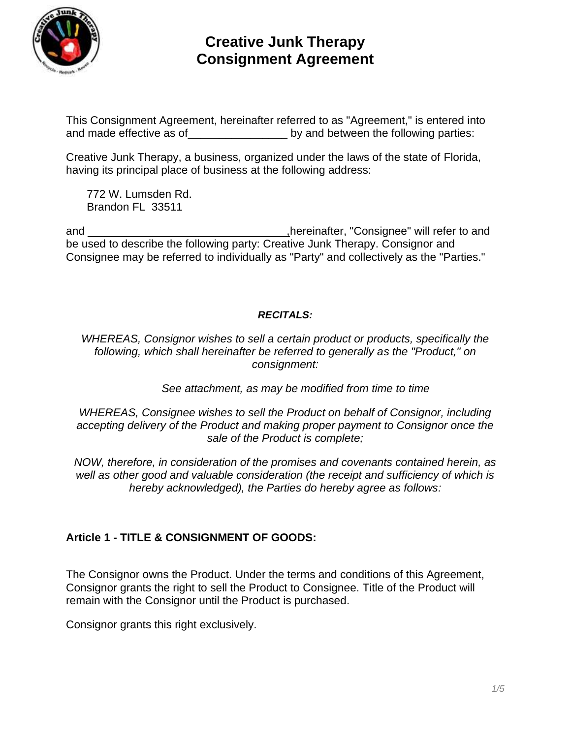

This Consignment Agreement, hereinafter referred to as "Agreement," is entered into and made effective as of **with the set of the set of the following parties:** 

Creative Junk Therapy, a business, organized under the laws of the state of Florida, having its principal place of business at the following address:

772 W. Lumsden Rd. Brandon FL 33511

and and  $\blacksquare$  and  $\blacksquare$  and  $\blacksquare$  and  $\blacksquare$  and  $\blacksquare$  and  $\blacksquare$  and  $\blacksquare$  and  $\blacksquare$  and  $\blacksquare$  and  $\blacksquare$  and  $\blacksquare$  and  $\blacksquare$  and  $\blacksquare$  and  $\blacksquare$  and  $\blacksquare$  and  $\blacksquare$  and  $\blacksquare$  and  $\blacksquare$  and  $\blacksquare$  and  $\blacksquare$ be used to describe the following party: Creative Junk Therapy. Consignor and Consignee may be referred to individually as "Party" and collectively as the "Parties."

#### *RECITALS:*

*WHEREAS, Consignor wishes to sell a certain product or products, specifically the following, which shall hereinafter be referred to generally as the "Product," on consignment:*

*See attachment, as may be modified from time to time*

*WHEREAS, Consignee wishes to sell the Product on behalf of Consignor, including accepting delivery of the Product and making proper payment to Consignor once the sale of the Product is complete;*

*NOW, therefore, in consideration of the promises and covenants contained herein, as well as other good and valuable consideration (the receipt and sufficiency of which is hereby acknowledged), the Parties do hereby agree as follows:*

## **Article 1 - TITLE & CONSIGNMENT OF GOODS:**

The Consignor owns the Product. Under the terms and conditions of this Agreement, Consignor grants the right to sell the Product to Consignee. Title of the Product will remain with the Consignor until the Product is purchased.

Consignor grants this right exclusively.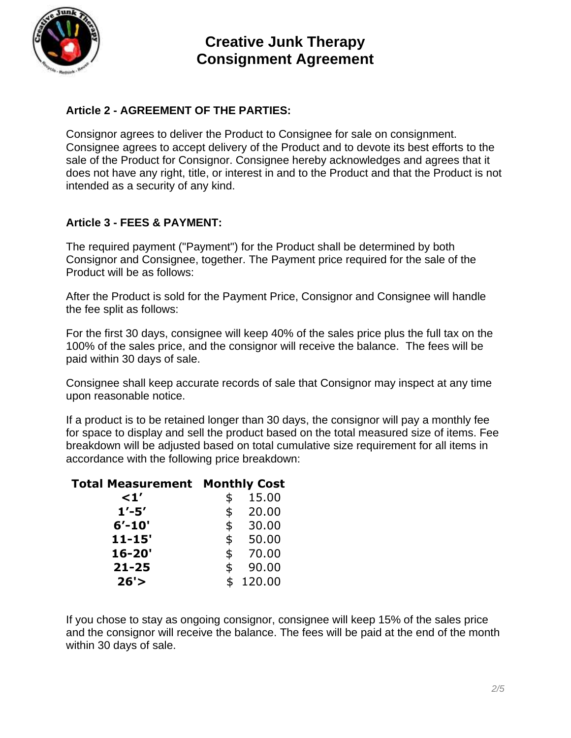

## **Article 2 - AGREEMENT OF THE PARTIES:**

Consignor agrees to deliver the Product to Consignee for sale on consignment. Consignee agrees to accept delivery of the Product and to devote its best efforts to the sale of the Product for Consignor. Consignee hereby acknowledges and agrees that it does not have any right, title, or interest in and to the Product and that the Product is not intended as a security of any kind.

#### **Article 3 - FEES & PAYMENT:**

The required payment ("Payment") for the Product shall be determined by both Consignor and Consignee, together. The Payment price required for the sale of the Product will be as follows:

After the Product is sold for the Payment Price, Consignor and Consignee will handle the fee split as follows:

For the first 30 days, consignee will keep 40% of the sales price plus the full tax on the 100% of the sales price, and the consignor will receive the balance. The fees will be paid within 30 days of sale.

Consignee shall keep accurate records of sale that Consignor may inspect at any time upon reasonable notice.

If a product is to be retained longer than 30 days, the consignor will pay a monthly fee for space to display and sell the product based on the total measured size of items. Fee breakdown will be adjusted based on total cumulative size requirement for all items in accordance with the following price breakdown:

#### **Total Measurement Monthly Cost**

| $\leq1'$   | \$<br>15.00 |
|------------|-------------|
| $1' - 5'$  | \$<br>20.00 |
| $6' - 10'$ | \$<br>30.00 |
| $11 - 15'$ | \$<br>50.00 |
| $16 - 20'$ | \$<br>70.00 |
| $21 - 25$  | \$<br>90.00 |
| 26'        | 120.00      |
|            |             |

If you chose to stay as ongoing consignor, consignee will keep 15% of the sales price and the consignor will receive the balance. The fees will be paid at the end of the month within 30 days of sale.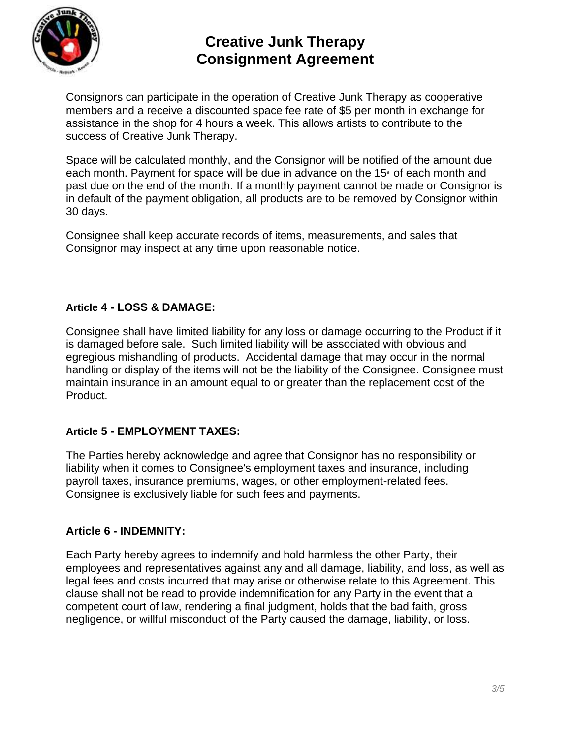

Consignors can participate in the operation of Creative Junk Therapy as cooperative members and a receive a discounted space fee rate of \$5 per month in exchange for assistance in the shop for 4 hours a week. This allows artists to contribute to the success of Creative Junk Therapy.

Space will be calculated monthly, and the Consignor will be notified of the amount due each month. Payment for space will be due in advance on the  $15<sup>th</sup>$  of each month and past due on the end of the month. If a monthly payment cannot be made or Consignor is in default of the payment obligation, all products are to be removed by Consignor within 30 days.

Consignee shall keep accurate records of items, measurements, and sales that Consignor may inspect at any time upon reasonable notice.

#### **Article 4 - LOSS & DAMAGE:**

Consignee shall have limited liability for any loss or damage occurring to the Product if it is damaged before sale. Such limited liability will be associated with obvious and egregious mishandling of products. Accidental damage that may occur in the normal handling or display of the items will not be the liability of the Consignee. Consignee must maintain insurance in an amount equal to or greater than the replacement cost of the Product.

#### **Article 5 - EMPLOYMENT TAXES:**

The Parties hereby acknowledge and agree that Consignor has no responsibility or liability when it comes to Consignee's employment taxes and insurance, including payroll taxes, insurance premiums, wages, or other employment-related fees. Consignee is exclusively liable for such fees and payments.

#### **Article 6 - INDEMNITY:**

Each Party hereby agrees to indemnify and hold harmless the other Party, their employees and representatives against any and all damage, liability, and loss, as well as legal fees and costs incurred that may arise or otherwise relate to this Agreement. This clause shall not be read to provide indemnification for any Party in the event that a competent court of law, rendering a final judgment, holds that the bad faith, gross negligence, or willful misconduct of the Party caused the damage, liability, or loss.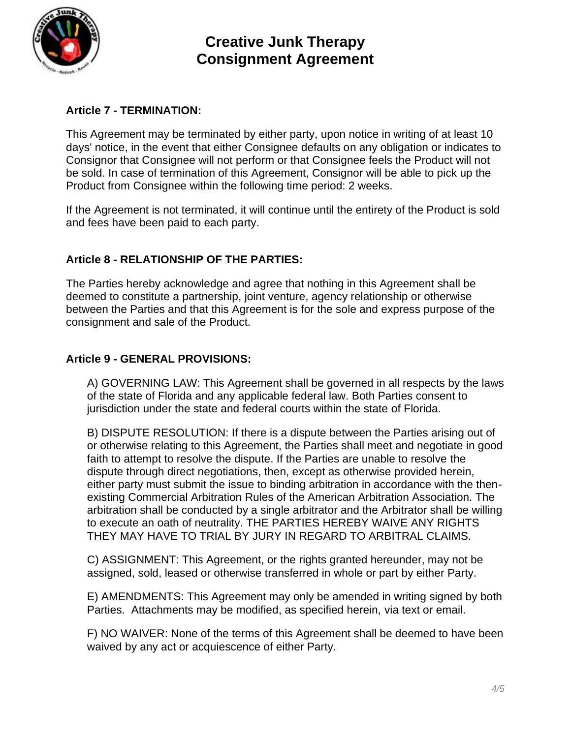

## **Article 7 - TERMINATION:**

This Agreement may be terminated by either party, upon notice in writing of at least 10 days' notice, in the event that either Consignee defaults on any obligation or indicates to Consignor that Consignee will not perform or that Consignee feels the Product will not be sold. In case of termination of this Agreement, Consignor will be able to pick up the Product from Consignee within the following time period: 2 weeks.

If the Agreement is not terminated, it will continue until the entirety of the Product is sold and fees have been paid to each party.

## **Article 8 - RELATIONSHIP OF THE PARTIES:**

The Parties hereby acknowledge and agree that nothing in this Agreement shall be deemed to constitute a partnership, joint venture, agency relationship or otherwise between the Parties and that this Agreement is for the sole and express purpose of the consignment and sale of the Product.

#### **Article 9 - GENERAL PROVISIONS:**

A) GOVERNING LAW: This Agreement shall be governed in all respects by the laws of the state of Florida and any applicable federal law. Both Parties consent to jurisdiction under the state and federal courts within the state of Florida.

B) DISPUTE RESOLUTION: If there is a dispute between the Parties arising out of or otherwise relating to this Agreement, the Parties shall meet and negotiate in good faith to attempt to resolve the dispute. If the Parties are unable to resolve the dispute through direct negotiations, then, except as otherwise provided herein, either party must submit the issue to binding arbitration in accordance with the thenexisting Commercial Arbitration Rules of the American Arbitration Association. The arbitration shall be conducted by a single arbitrator and the Arbitrator shall be willing to execute an oath of neutrality. THE PARTIES HEREBY WAIVE ANY RIGHTS THEY MAY HAVE TO TRIAL BY JURY IN REGARD TO ARBITRAL CLAIMS.

C) ASSIGNMENT: This Agreement, or the rights granted hereunder, may not be assigned, sold, leased or otherwise transferred in whole or part by either Party.

E) AMENDMENTS: This Agreement may only be amended in writing signed by both Parties. Attachments may be modified, as specified herein, via text or email.

F) NO WAIVER: None of the terms of this Agreement shall be deemed to have been waived by any act or acquiescence of either Party.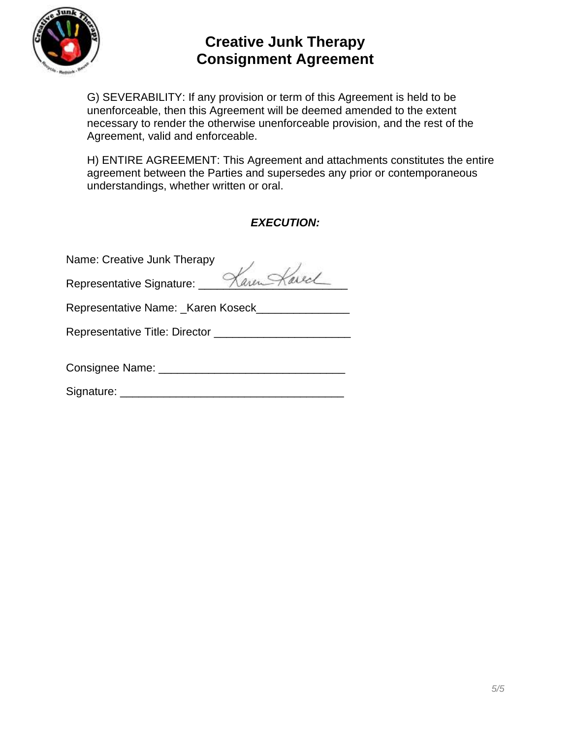

G) SEVERABILITY: If any provision or term of this Agreement is held to be unenforceable, then this Agreement will be deemed amended to the extent necessary to render the otherwise unenforceable provision, and the rest of the Agreement, valid and enforceable.

H) ENTIRE AGREEMENT: This Agreement and attachments constitutes the entire agreement between the Parties and supersedes any prior or contemporaneous understandings, whether written or oral.

## *EXECUTION:*

| Name: Creative Junk Therapy           |  |  |  |  |
|---------------------------------------|--|--|--|--|
| Representative Signature: Karen Kared |  |  |  |  |
| Representative Name: Karen Koseck     |  |  |  |  |
|                                       |  |  |  |  |
|                                       |  |  |  |  |
| Signature: _______________            |  |  |  |  |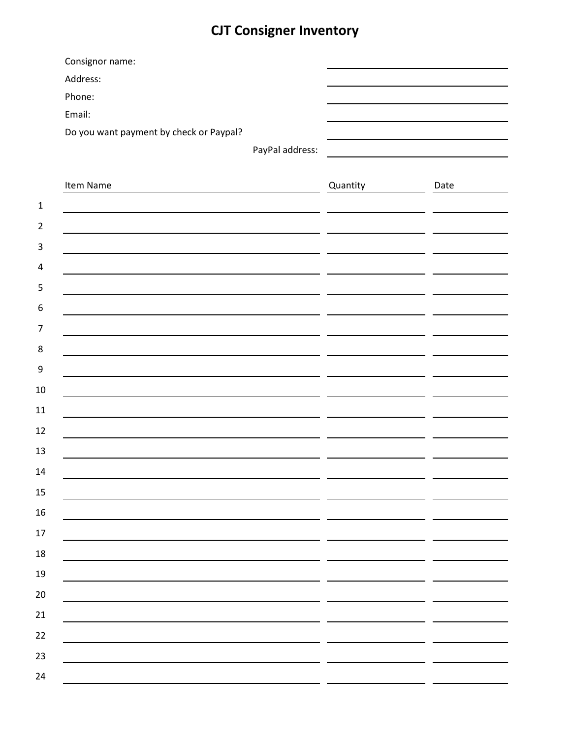# **CJT Consigner Inventory**

|                | Consignor name:                         |          |      |
|----------------|-----------------------------------------|----------|------|
|                | Address:                                |          |      |
|                | Phone:                                  |          |      |
|                | Email:                                  |          |      |
|                | Do you want payment by check or Paypal? |          |      |
|                | PayPal address:                         |          |      |
|                |                                         |          |      |
|                | Item Name                               | Quantity | Date |
| $\mathbf{1}$   |                                         |          |      |
| $\overline{2}$ |                                         |          |      |
| 3              |                                         |          |      |
| 4              |                                         |          |      |
| 5              |                                         |          |      |
| 6              |                                         |          |      |
| 7              |                                         |          |      |
| 8              |                                         |          |      |
| 9              |                                         |          |      |
| 10             |                                         |          |      |
| 11             |                                         |          |      |
| 12             |                                         |          |      |
|                |                                         |          |      |
| 13             |                                         |          |      |
| 14             |                                         |          |      |
| $15\,$         |                                         |          |      |
| $16\,$         |                                         |          |      |
| $17\,$         |                                         |          |      |
| 18             |                                         |          |      |
| 19             |                                         |          |      |
| 20             |                                         |          |      |
| 21             |                                         |          |      |
| 22             |                                         |          |      |
| 23             |                                         |          |      |
| 24             |                                         |          |      |